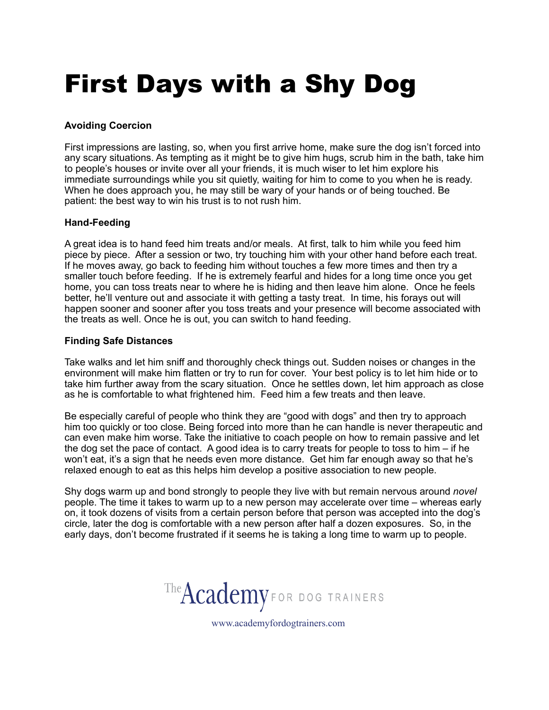# First Days with a Shy Dog

# **Avoiding Coercion**

First impressions are lasting, so, when you first arrive home, make sure the dog isn't forced into any scary situations. As tempting as it might be to give him hugs, scrub him in the bath, take him to people's houses or invite over all your friends, it is much wiser to let him explore his immediate surroundings while you sit quietly, waiting for him to come to you when he is ready. When he does approach you, he may still be wary of your hands or of being touched. Be patient: the best way to win his trust is to not rush him.

## **Hand-Feeding**

A great idea is to hand feed him treats and/or meals. At first, talk to him while you feed him piece by piece. After a session or two, try touching him with your other hand before each treat. If he moves away, go back to feeding him without touches a few more times and then try a smaller touch before feeding. If he is extremely fearful and hides for a long time once you get home, you can toss treats near to where he is hiding and then leave him alone. Once he feels better, he'll venture out and associate it with getting a tasty treat. In time, his forays out will happen sooner and sooner after you toss treats and your presence will become associated with the treats as well. Once he is out, you can switch to hand feeding.

## **Finding Safe Distances**

Take walks and let him sniff and thoroughly check things out. Sudden noises or changes in the environment will make him flatten or try to run for cover. Your best policy is to let him hide or to take him further away from the scary situation. Once he settles down, let him approach as close as he is comfortable to what frightened him. Feed him a few treats and then leave.

Be especially careful of people who think they are "good with dogs" and then try to approach him too quickly or too close. Being forced into more than he can handle is never therapeutic and can even make him worse. Take the initiative to coach people on how to remain passive and let the dog set the pace of contact. A good idea is to carry treats for people to toss to him – if he won't eat, it's a sign that he needs even more distance. Get him far enough away so that he's relaxed enough to eat as this helps him develop a positive association to new people.

Shy dogs warm up and bond strongly to people they live with but remain nervous around *novel*  people. The time it takes to warm up to a new person may accelerate over time – whereas early on, it took dozens of visits from a certain person before that person was accepted into the dog's circle, later the dog is comfortable with a new person after half a dozen exposures. So, in the early days, don't become frustrated if it seems he is taking a long time to warm up to people.

The **Academy** for DOG TRAINERS

www.academyfordogtrainers.com